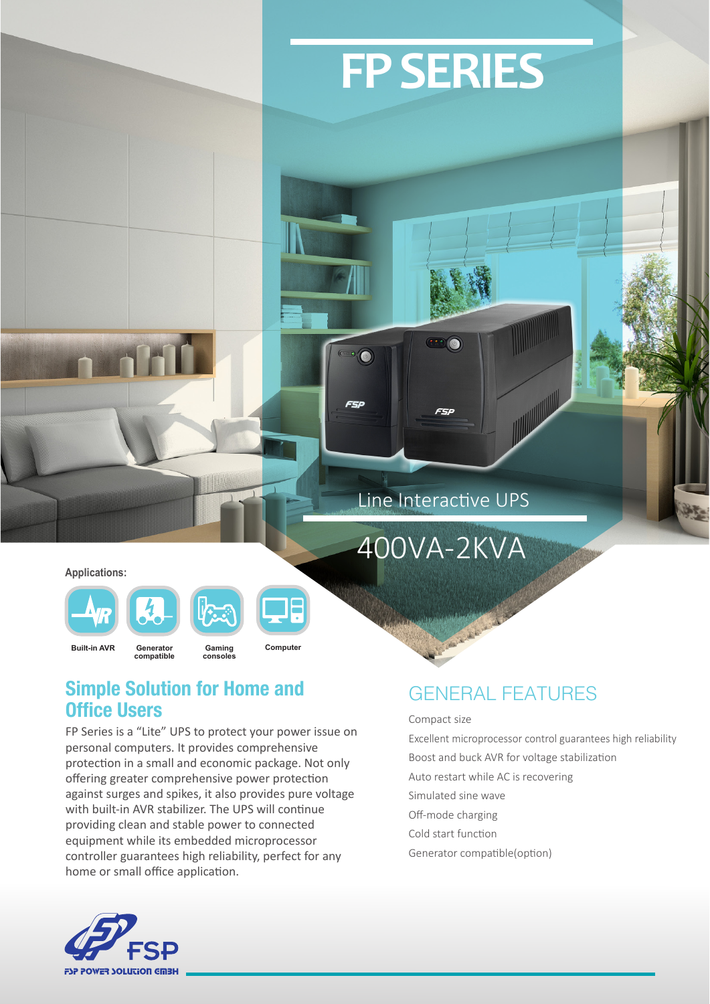

**FSP** 

 $\overline{(\omega)}$ 

 $\bullet$  (b)

FSP

400VA-2KVA

**FP SERIES**

**Applications:**







**Gaming consoles**

**Generator compatible Built-in AVR Computer**

### Simple Solution for Home and Office Users

FP Series is a "Lite" UPS to protect your power issue on personal computers. It provides comprehensive protection in a small and economic package. Not only offering greater comprehensive power protection against surges and spikes, it also provides pure voltage with built-in AVR stabilizer. The UPS will continue providing clean and stable power to connected equipment while its embedded microprocessor controller guarantees high reliability, perfect for any home or small office application.

### GENERAL FEATURES

#### Compact size

Excellent microprocessor control guarantees high reliability

- Boost and buck AVR for voltage stabilization
- Auto restart while AC is recovering
- Simulated sine wave
- Off-mode charging
- Cold start function
- Generator compatible(option)